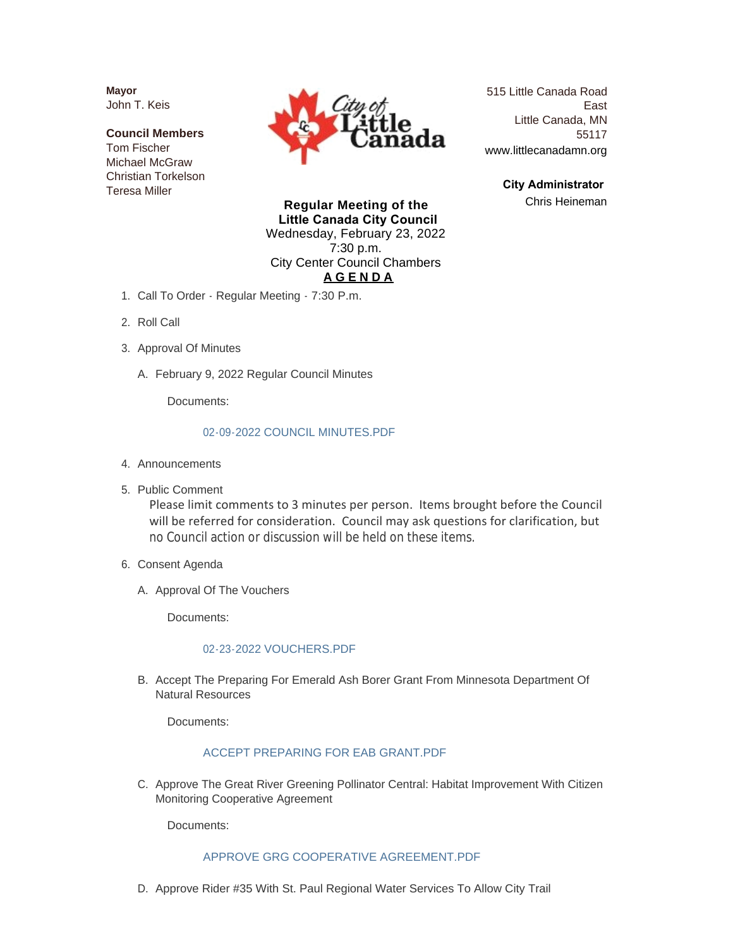**Mayor** John T. Keis

**Council Members** Tom Fischer Michael McGraw Christian Torkelson Teresa Miller



515 Little Canada Road East Little Canada, MN 55117 www.littlecanadamn.org

> **City Administrator**  Chris Heineman

**Regular Meeting of the Little Canada City Council** Wednesday, February 23, 2022 7:30 p.m. City Center Council Chambers **A G E N D A**

- 1. Call To Order Regular Meeting 7:30 P.m.
- 2. Roll Call
- 3. Approval Of Minutes
	- February 9, 2022 Regular Council Minutes A.

Documents:

#### [02-09-2022 COUNCIL MINUTES.PDF](http://www.littlecanadamn.org/AgendaCenter/ViewFile/Item/3768?fileID=3532)

- 4. Announcements
- 5. Public Comment

Please limit comments to 3 minutes per person. Items brought before the Council will be referred for consideration. Council may ask questions for clarification, but no Council action or discussion will be held on these items.

- 6. Consent Agenda
	- A. Approval Of The Vouchers

Documents:

#### [02-23-2022 VOUCHERS.PDF](http://www.littlecanadamn.org/AgendaCenter/ViewFile/Item/3764?fileID=3544)

B. Accept The Preparing For Emerald Ash Borer Grant From Minnesota Department Of Natural Resources

Documents:

#### [ACCEPT PREPARING FOR EAB GRANT.PDF](http://www.littlecanadamn.org/AgendaCenter/ViewFile/Item/3769?fileID=3528)

C. Approve The Great River Greening Pollinator Central: Habitat Improvement With Citizen Monitoring Cooperative Agreement

Documents:

### [APPROVE GRG COOPERATIVE AGREEMENT.PDF](http://www.littlecanadamn.org/AgendaCenter/ViewFile/Item/3779?fileID=3533)

D. Approve Rider #35 With St. Paul Regional Water Services To Allow City Trail